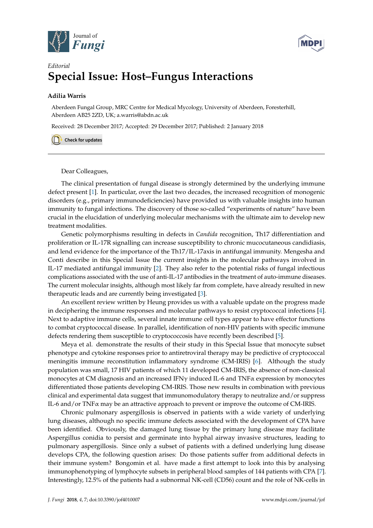



## *Editorial* **Special Issue: Host–Fungus Interactions**

## **Adilia Warris**

Aberdeen Fungal Group, MRC Centre for Medical Mycology, University of Aberdeen, Foresterhill, Aberdeen AB25 2ZD, UK; a.warris@abdn.ac.uk

Received: 28 December 2017; Accepted: 29 December 2017; Published: 2 January 2018

Check for updates

Dear Colleagues,

The clinical presentation of fungal disease is strongly determined by the underlying immune defect present [\[1\]](#page-2-0). In particular, over the last two decades, the increased recognition of monogenic disorders (e.g., primary immunodeficiencies) have provided us with valuable insights into human immunity to fungal infections. The discovery of those so-called "experiments of nature" have been crucial in the elucidation of underlying molecular mechanisms with the ultimate aim to develop new treatment modalities.

Genetic polymorphisms resulting in defects in *Candida* recognition, Th17 differentiation and proliferation or IL-17R signalling can increase susceptibility to chronic mucocutaneous candidiasis, and lend evidence for the importance of the Th17/IL-17axis in antifungal immunity. Mengesha and Conti describe in this Special Issue the current insights in the molecular pathways involved in IL-17 mediated antifungal immunity [\[2\]](#page-2-1). They also refer to the potential risks of fungal infectious complications associated with the use of anti-IL-17 antibodies in the treatment of auto-immune diseases. The current molecular insights, although most likely far from complete, have already resulted in new therapeutic leads and are currently being investigated [\[3\]](#page-2-2).

An excellent review written by Heung provides us with a valuable update on the progress made in deciphering the immune responses and molecular pathways to resist cryptococcal infections [\[4\]](#page-2-3). Next to adaptive immune cells, several innate immune cell types appear to have effector functions to combat cryptococcal disease. In parallel, identification of non-HIV patients with specific immune defects rendering them susceptible to cryptococcosis have recently been described [\[5\]](#page-2-4).

Meya et al. demonstrate the results of their study in this Special Issue that monocyte subset phenotype and cytokine responses prior to antiretroviral therapy may be predictive of cryptococcal meningitis immune reconstitution inflammatory syndrome (CM-IRIS) [\[6\]](#page-2-5). Although the study population was small, 17 HIV patients of which 11 developed CM-IRIS, the absence of non-classical monocytes at CM diagnosis and an increased IFN $\gamma$  induced IL-6 and TNF $\alpha$  expression by monocytes differentiated those patients developing CM-IRIS. Those new results in combination with previous clinical and experimental data suggest that immunomodulatory therapy to neutralize and/or suppress IL-6 and/or TNFα may be an attractive approach to prevent or improve the outcome of CM-IRIS.

Chronic pulmonary aspergillosis is observed in patients with a wide variety of underlying lung diseases, although no specific immune defects associated with the development of CPA have been identified. Obviously, the damaged lung tissue by the primary lung disease may facilitate Aspergillus conidia to persist and germinate into hyphal airway invasive structures, leading to pulmonary aspergillosis. Since only a subset of patients with a defined underlying lung disease develops CPA, the following question arises: Do those patients suffer from additional defects in their immune system? Bongomin et al. have made a first attempt to look into this by analysing immunophenotyping of lymphocyte subsets in peripheral blood samples of 144 patients with CPA [\[7\]](#page-2-6). Interestingly, 12.5% of the patients had a subnormal NK-cell (CD56) count and the role of NK-cells in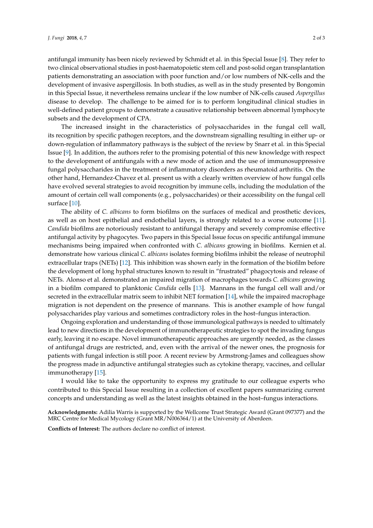antifungal immunity has been nicely reviewed by Schmidt et al. in this Special Issue [\[8\]](#page-2-7). They refer to two clinical observational studies in post-haematopoietic stem cell and post-solid organ transplantation patients demonstrating an association with poor function and/or low numbers of NK-cells and the development of invasive aspergillosis. In both studies, as well as in the study presented by Bongomin in this Special Issue, it nevertheless remains unclear if the low number of NK-cells caused *Aspergillus* disease to develop. The challenge to be aimed for is to perform longitudinal clinical studies in well-defined patient groups to demonstrate a causative relationship between abnormal lymphocyte subsets and the development of CPA.

The increased insight in the characteristics of polysaccharides in the fungal cell wall, its recognition by specific pathogen receptors, and the downstream signalling resulting in either up- or down-regulation of inflammatory pathways is the subject of the review by Snarr et al. in this Special Issue [\[9\]](#page-2-8). In addition, the authors refer to the promising potential of this new knowledge with respect to the development of antifungals with a new mode of action and the use of immunosuppressive fungal polysaccharides in the treatment of inflammatory disorders as rheumatoid arthritis. On the other hand, Hernandez-Chavez et al. present us with a clearly written overview of how fungal cells have evolved several strategies to avoid recognition by immune cells, including the modulation of the amount of certain cell wall components (e.g., polysaccharides) or their accessibility on the fungal cell surface [\[10\]](#page-2-9).

The ability of *C. albicans* to form biofilms on the surfaces of medical and prosthetic devices, as well as on host epithelial and endothelial layers, is strongly related to a worse outcome [\[11\]](#page-2-10). *Candida* biofilms are notoriously resistant to antifungal therapy and severely compromise effective antifungal activity by phagocytes. Two papers in this Special Issue focus on specific antifungal immune mechanisms being impaired when confronted with *C. albicans* growing in biofilms. Kernien et al. demonstrate how various clinical *C. albicans* isolates forming biofilms inhibit the release of neutrophil extracellular traps (NETs) [\[12\]](#page-2-11). This inhibition was shown early in the formation of the biofilm before the development of long hyphal structures known to result in "frustrated" phagocytosis and release of NETs. Alonso et al. demonstrated an impaired migration of macrophages towards *C. albicans* growing in a biofilm compared to planktonic *Candida* cells [\[13\]](#page-2-12). Mannans in the fungal cell wall and/or secreted in the extracellular matrix seem to inhibit NET formation [\[14\]](#page-2-13), while the impaired macrophage migration is not dependent on the presence of mannans. This is another example of how fungal polysaccharides play various and sometimes contradictory roles in the host–fungus interaction.

Ongoing exploration and understanding of those immunological pathways is needed to ultimately lead to new directions in the development of immunotherapeutic strategies to spot the invading fungus early, leaving it no escape. Novel immunotherapeutic approaches are urgently needed, as the classes of antifungal drugs are restricted, and, even with the arrival of the newer ones, the prognosis for patients with fungal infection is still poor. A recent review by Armstrong-James and colleagues show the progress made in adjunctive antifungal strategies such as cytokine therapy, vaccines, and cellular immunotherapy [\[15\]](#page-2-14).

I would like to take the opportunity to express my gratitude to our colleague experts who contributed to this Special Issue resulting in a collection of excellent papers summarizing current concepts and understanding as well as the latest insights obtained in the host–fungus interactions.

**Acknowledgments:** Adilia Warris is supported by the Wellcome Trust Strategic Award (Grant 097377) and the MRC Centre for Medical Mycology (Grant MR/N006364/1) at the University of Aberdeen.

**Conflicts of Interest:** The authors declare no conflict of interest.